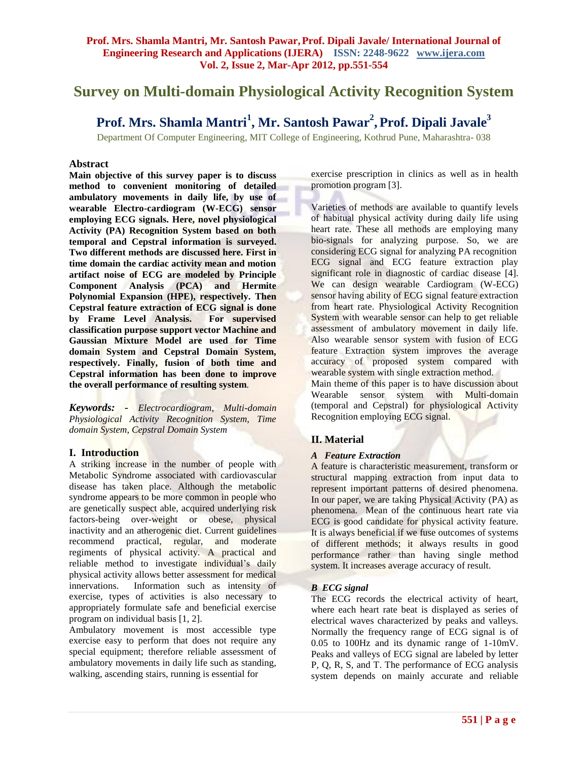# **Survey on Multi-domain Physiological Activity Recognition System**

## **Prof. Mrs. Shamla Mantri<sup>1</sup> , Mr. Santosh Pawar<sup>2</sup> ,Prof. Dipali Javale<sup>3</sup>**

Department Of Computer Engineering, MIT College of Engineering, Kothrud Pune, Maharashtra- 038

## **Abstract**

**Main objective of this survey paper is to discuss method to convenient monitoring of detailed ambulatory movements in daily life, by use of wearable Electro-cardiogram (W-ECG) sensor employing ECG signals. Here, novel physiological Activity (PA) Recognition System based on both temporal and Cepstral information is surveyed. Two different methods are discussed here. First in time domain the cardiac activity mean and motion artifact noise of ECG are modeled by Principle Component Analysis (PCA) and Hermite Polynomial Expansion (HPE), respectively. Then Cepstral feature extraction of ECG signal is done by Frame Level Analysis. For supervised classification purpose support vector Machine and Gaussian Mixture Model are used for Time domain System and Cepstral Domain System, respectively. Finally, fusion of both time and Cepstral information has been done to improve the overall performance of resulting system***.*

*Keywords: - Electrocardiogram, Multi-domain Physiological Activity Recognition System, Time domain System, Cepstral Domain System*

## **I. Introduction**

A striking increase in the number of people with Metabolic Syndrome associated with cardiovascular disease has taken place. Although the metabolic syndrome appears to be more common in people who are genetically suspect able, acquired underlying risk factors-being over-weight or obese, physical inactivity and an atherogenic diet. Current guidelines recommend practical, regular, and moderate regiments of physical activity. A practical and reliable method to investigate individual's daily physical activity allows better assessment for medical innervations. Information such as intensity of exercise, types of activities is also necessary to appropriately formulate safe and beneficial exercise program on individual basis [1, 2].

Ambulatory movement is most accessible type exercise easy to perform that does not require any special equipment; therefore reliable assessment of ambulatory movements in daily life such as standing, walking, ascending stairs, running is essential for

exercise prescription in clinics as well as in health promotion program [3].

Varieties of methods are available to quantify levels of habitual physical activity during daily life using heart rate. These all methods are employing many bio-signals for analyzing purpose. So, we are considering ECG signal for analyzing PA recognition ECG signal and ECG feature extraction play significant role in diagnostic of cardiac disease [4]. We can design wearable Cardiogram (W-ECG) sensor having ability of ECG signal feature extraction from heart rate. Physiological Activity Recognition System with wearable sensor can help to get reliable assessment of ambulatory movement in daily life. Also wearable sensor system with fusion of ECG feature Extraction system improves the average accuracy of proposed system compared with wearable system with single extraction method.

Main theme of this paper is to have discussion about Wearable sensor system with Multi-domain (temporal and Cepstral) for physiological Activity Recognition employing ECG signal.

## **II. Material**

## *A Feature Extraction*

A feature is characteristic measurement, transform or structural mapping extraction from input data to represent important patterns of desired phenomena. In our paper, we are taking Physical Activity (PA) as phenomena. Mean of the continuous heart rate via ECG is good candidate for physical activity feature. It is always beneficial if we fuse outcomes of systems of different methods; it always results in good performance rather than having single method system. It increases average accuracy of result.

## *B ECG signal*

The ECG records the electrical activity of heart, where each heart rate beat is displayed as series of electrical waves characterized by peaks and valleys. Normally the frequency range of ECG signal is of 0.05 to 100Hz and its dynamic range of 1-10mV. Peaks and valleys of ECG signal are labeled by letter P, Q, R, S, and T. The performance of ECG analysis system depends on mainly accurate and reliable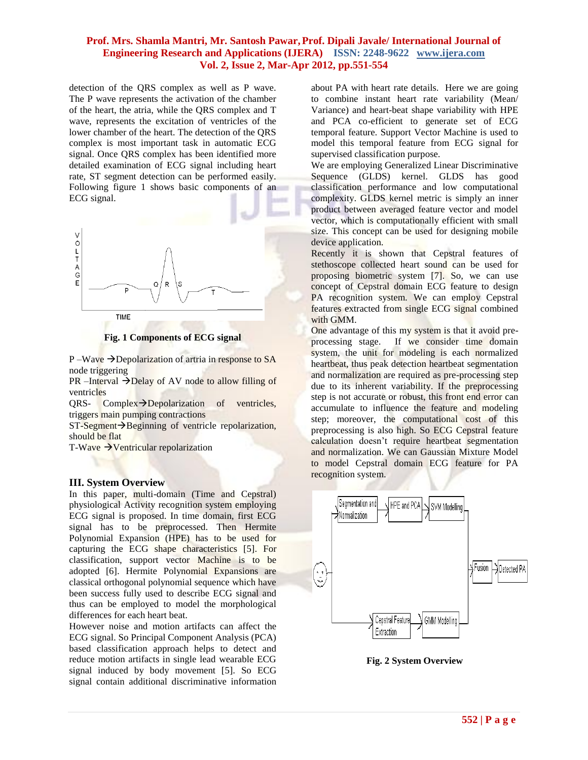## **Prof. Mrs. Shamla Mantri, Mr. Santosh Pawar,Prof. Dipali Javale/ International Journal of Engineering Research and Applications (IJERA) ISSN: 2248-9622 www.ijera.com Vol. 2, Issue 2, Mar-Apr 2012, pp.551-554**

detection of the QRS complex as well as P wave. The P wave represents the activation of the chamber of the heart, the atria, while the QRS complex and T wave, represents the excitation of ventricles of the lower chamber of the heart. The detection of the QRS complex is most important task in automatic ECG signal. Once QRS complex has been identified more detailed examination of ECG signal including heart rate, ST segment detection can be performed easily. Following figure 1 shows basic components of an ECG signal.



**Fig. 1 Components of ECG signal**

 $P-Wave \rightarrow Depolarization$  of artria in response to SA node triggering

 $PR$  –Interval  $\rightarrow$ Delay of AV node to allow filling of ventricles

 $QRS-$  Complex $\rightarrow$ Depolarization of ventricles, triggers main pumping contractions

 $ST-Segment \rightarrow Beginning$  of ventricle repolarization, should be flat

T-Wave  $\rightarrow$  Ventricular repolarization

#### **III. System Overview**

In this paper, multi-domain (Time and Cepstral) physiological Activity recognition system employing ECG signal is proposed. In time domain, first ECG signal has to be preprocessed. Then Hermite Polynomial Expansion (HPE) has to be used for capturing the ECG shape characteristics [5]. For classification, support vector Machine is to be adopted [6]. Hermite Polynomial Expansions are classical orthogonal polynomial sequence which have been success fully used to describe ECG signal and thus can be employed to model the morphological differences for each heart beat.

However noise and motion artifacts can affect the ECG signal. So Principal Component Analysis (PCA) based classification approach helps to detect and reduce motion artifacts in single lead wearable ECG signal induced by body movement [5]. So ECG signal contain additional discriminative information

about PA with heart rate details. Here we are going to combine instant heart rate variability (Mean/ Variance) and heart-beat shape variability with HPE and PCA co-efficient to generate set of ECG temporal feature. Support Vector Machine is used to model this temporal feature from ECG signal for supervised classification purpose.

We are employing Generalized Linear Discriminative Sequence (GLDS) kernel. GLDS has good classification performance and low computational complexity. GLDS kernel metric is simply an inner product between averaged feature vector and model vector, which is computationally efficient with small size. This concept can be used for designing mobile device application.

Recently it is shown that Cepstral features of stethoscope collected heart sound can be used for proposing biometric system [7]. So, we can use concept of Cepstral domain ECG feature to design PA recognition system. We can employ Cepstral features extracted from single ECG signal combined with GMM.

One advantage of this my system is that it avoid preprocessing stage. If we consider time domain system, the unit for modeling is each normalized heartbeat, thus peak detection heartbeat segmentation and normalization are required as pre-processing step due to its inherent variability. If the preprocessing step is not accurate or robust, this front end error can accumulate to influence the feature and modeling step; moreover, the computational cost of this preprocessing is also high. So ECG Cepstral feature calculation doesn't require heartbeat segmentation and normalization. We can Gaussian Mixture Model to model Cepstral domain ECG feature for PA recognition system.



**Fig. 2 System Overview**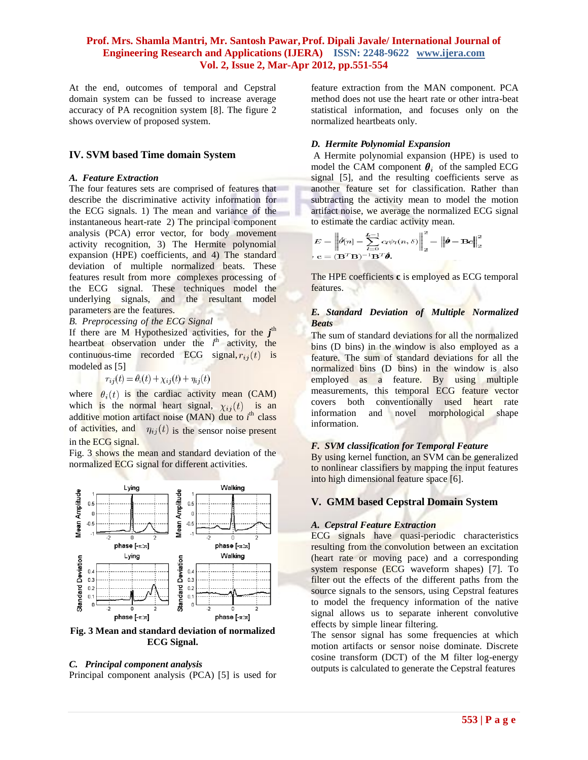## **Prof. Mrs. Shamla Mantri, Mr. Santosh Pawar,Prof. Dipali Javale/ International Journal of Engineering Research and Applications (IJERA) ISSN: 2248-9622 www.ijera.com Vol. 2, Issue 2, Mar-Apr 2012, pp.551-554**

At the end, outcomes of temporal and Cepstral domain system can be fussed to increase average accuracy of PA recognition system [8]. The figure 2 shows overview of proposed system.

### **IV. SVM based Time domain System**

#### *A. Feature Extraction*

The four features sets are comprised of features that describe the discriminative activity information for the ECG signals. 1) The mean and variance of the instantaneous heart-rate 2) The principal component analysis (PCA) error vector, for body movement activity recognition, 3) The Hermite polynomial expansion (HPE) coefficients, and 4) The standard deviation of multiple normalized beats. These features result from more complexes processing of the ECG signal. These techniques model the underlying signals, and the resultant model parameters are the features.

#### *B. Preprocessing of the ECG Signal*

If there are M Hypothesized activities, for the *j*<sup>th</sup> heartbeat observation under the  $i^{\text{th}}$  activity, the continuous-time recorded ECG signal,  $r_{ij}(t)$  is modeled as [5]

$$
r_{ij}(t) = \theta_i(t) + \chi_{ij}(t) + \eta_{ij}(t)
$$

where  $\theta_i(t)$  is the cardiac activity mean (CAM) which is the normal heart signal,  $\chi_{ij}(t)$  is an additive motion artifact noise (MAN) due to *i*<sup>th</sup> class of activities, and  $\eta_{ij}(t)$  is the sensor noise present in the ECG signal.

Fig. 3 shows the mean and standard deviation of the normalized ECG signal for different activities.



**Fig. 3 Mean and standard deviation of normalized ECG Signal.**

#### *C. Principal component analysis*

Principal component analysis (PCA) [5] is used for

feature extraction from the MAN component. PCA method does not use the heart rate or other intra-beat statistical information, and focuses only on the normalized heartbeats only.

#### *D. Hermite Polynomial Expansion*

A Hermite polynomial expansion (HPE) is used to model the CAM component  $\theta_i$  of the sampled ECG signal [5], and the resulting coefficients serve as another feature set for classification. Rather than subtracting the activity mean to model the motion artifact noise, we average the normalized ECG signal to estimate the cardiac activity mean.

$$
E = \left\| \hat{\theta}[n] - \sum_{l=0}^{L-1} c_l \psi_l(n, \delta) \right\|_2^2 = \left\| \hat{\boldsymbol{\theta}} - \mathbf{B} \mathbf{c} \right\|_2^2
$$

$$
\mathbf{c} = (\mathbf{B}^T \mathbf{B})^{-1} \mathbf{B}^T \hat{\boldsymbol{\theta}}.
$$

The HPE coefficients **c** is employed as ECG temporal features.

## *E. Standard Deviation of Multiple Normalized Beats*

The sum of standard deviations for all the normalized bins (D bins) in the window is also employed as a feature. The sum of standard deviations for all the normalized bins (D bins) in the window is also employed as a feature. By using multiple measurements, this temporal ECG feature vector covers both conventionally used heart rate information and novel morphological shape information.

#### *F. SVM classification for Temporal Feature*

By using kernel function, an SVM can be generalized to nonlinear classifiers by mapping the input features into high dimensional feature space [6].

## **V. GMM based Cepstral Domain System**

#### *A. Cepstral Feature Extraction*

ECG signals have quasi-periodic characteristics resulting from the convolution between an excitation (heart rate or moving pace) and a corresponding system response (ECG waveform shapes) [7]. To filter out the effects of the different paths from the source signals to the sensors, using Cepstral features to model the frequency information of the native signal allows us to separate inherent convolutive effects by simple linear filtering.

The sensor signal has some frequencies at which motion artifacts or sensor noise dominate. Discrete cosine transform (DCT) of the M filter log-energy outputs is calculated to generate the Cepstral features